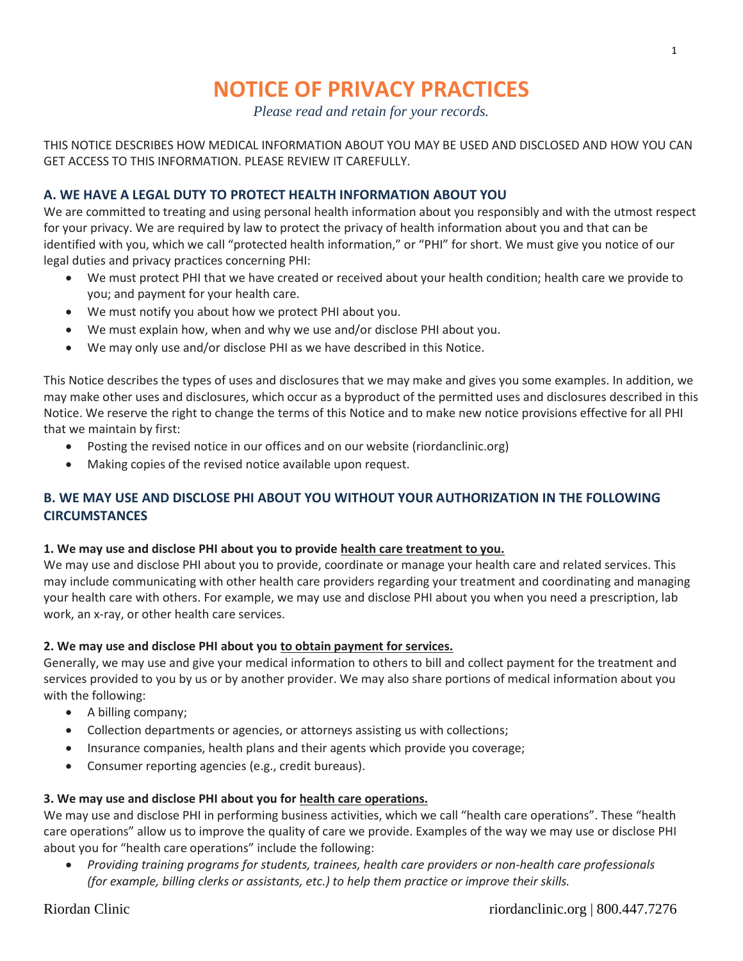# **NOTICE OF PRIVACY PRACTICES**

*Please read and retain for your records.*

THIS NOTICE DESCRIBES HOW MEDICAL INFORMATION ABOUT YOU MAY BE USED AND DISCLOSED AND HOW YOU CAN GET ACCESS TO THIS INFORMATION. PLEASE REVIEW IT CAREFULLY.

# **A. WE HAVE A LEGAL DUTY TO PROTECT HEALTH INFORMATION ABOUT YOU**

We are committed to treating and using personal health information about you responsibly and with the utmost respect for your privacy. We are required by law to protect the privacy of health information about you and that can be identified with you, which we call "protected health information," or "PHI" for short. We must give you notice of our legal duties and privacy practices concerning PHI:

- We must protect PHI that we have created or received about your health condition; health care we provide to you; and payment for your health care.
- We must notify you about how we protect PHI about you.
- We must explain how, when and why we use and/or disclose PHI about you.
- We may only use and/or disclose PHI as we have described in this Notice.

This Notice describes the types of uses and disclosures that we may make and gives you some examples. In addition, we may make other uses and disclosures, which occur as a byproduct of the permitted uses and disclosures described in this Notice. We reserve the right to change the terms of this Notice and to make new notice provisions effective for all PHI that we maintain by first:

- Posting the revised notice in our offices and on our website (riordanclinic.org)
- Making copies of the revised notice available upon request.

# **B. WE MAY USE AND DISCLOSE PHI ABOUT YOU WITHOUT YOUR AUTHORIZATION IN THE FOLLOWING CIRCUMSTANCES**

# **1. We may use and disclose PHI about you to provide health care treatment to you.**

We may use and disclose PHI about you to provide, coordinate or manage your health care and related services. This may include communicating with other health care providers regarding your treatment and coordinating and managing your health care with others. For example, we may use and disclose PHI about you when you need a prescription, lab work, an x-ray, or other health care services.

# **2. We may use and disclose PHI about you to obtain payment for services.**

Generally, we may use and give your medical information to others to bill and collect payment for the treatment and services provided to you by us or by another provider. We may also share portions of medical information about you with the following:

- A billing company;
- Collection departments or agencies, or attorneys assisting us with collections;
- Insurance companies, health plans and their agents which provide you coverage;
- Consumer reporting agencies (e.g., credit bureaus).

# **3. We may use and disclose PHI about you for health care operations.**

We may use and disclose PHI in performing business activities, which we call "health care operations". These "health care operations" allow us to improve the quality of care we provide. Examples of the way we may use or disclose PHI about you for "health care operations" include the following:

 *Providing training programs for students, trainees, health care providers or non-health care professionals (for example, billing clerks or assistants, etc.) to help them practice or improve their skills.*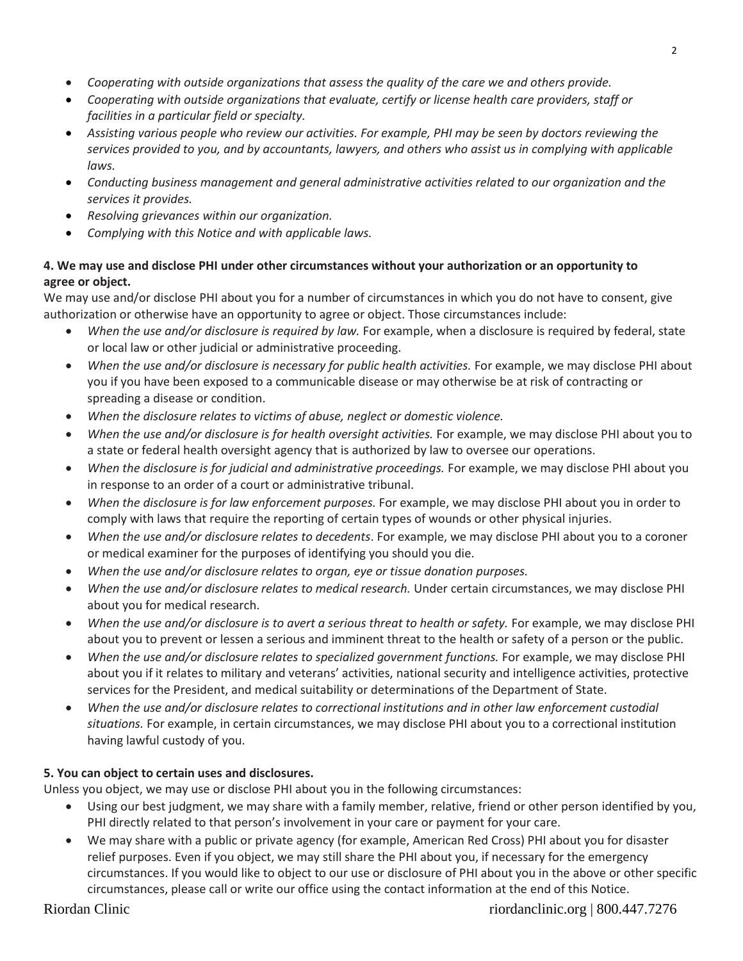- *Cooperating with outside organizations that assess the quality of the care we and others provide.*
- *Cooperating with outside organizations that evaluate, certify or license health care providers, staff or facilities in a particular field or specialty.*
- *Assisting various people who review our activities. For example, PHI may be seen by doctors reviewing the services provided to you, and by accountants, lawyers, and others who assist us in complying with applicable laws.*
- *Conducting business management and general administrative activities related to our organization and the services it provides.*
- *Resolving grievances within our organization.*
- *Complying with this Notice and with applicable laws.*

# **4. We may use and disclose PHI under other circumstances without your authorization or an opportunity to agree or object.**

We may use and/or disclose PHI about you for a number of circumstances in which you do not have to consent, give authorization or otherwise have an opportunity to agree or object. Those circumstances include:

- *When the use and/or disclosure is required by law.* For example, when a disclosure is required by federal, state or local law or other judicial or administrative proceeding.
- *When the use and/or disclosure is necessary for public health activities.* For example, we may disclose PHI about you if you have been exposed to a communicable disease or may otherwise be at risk of contracting or spreading a disease or condition.
- *When the disclosure relates to victims of abuse, neglect or domestic violence.*
- *When the use and/or disclosure is for health oversight activities.* For example, we may disclose PHI about you to a state or federal health oversight agency that is authorized by law to oversee our operations.
- *When the disclosure is for judicial and administrative proceedings.* For example, we may disclose PHI about you in response to an order of a court or administrative tribunal.
- *When the disclosure is for law enforcement purposes.* For example, we may disclose PHI about you in order to comply with laws that require the reporting of certain types of wounds or other physical injuries.
- *When the use and/or disclosure relates to decedents*. For example, we may disclose PHI about you to a coroner or medical examiner for the purposes of identifying you should you die.
- *When the use and/or disclosure relates to organ, eye or tissue donation purposes.*
- *When the use and/or disclosure relates to medical research.* Under certain circumstances, we may disclose PHI about you for medical research.
- *When the use and/or disclosure is to avert a serious threat to health or safety.* For example, we may disclose PHI about you to prevent or lessen a serious and imminent threat to the health or safety of a person or the public.
- *When the use and/or disclosure relates to specialized government functions.* For example, we may disclose PHI about you if it relates to military and veterans' activities, national security and intelligence activities, protective services for the President, and medical suitability or determinations of the Department of State.
- *When the use and/or disclosure relates to correctional institutions and in other law enforcement custodial situations.* For example, in certain circumstances, we may disclose PHI about you to a correctional institution having lawful custody of you.

# **5. You can object to certain uses and disclosures.**

Unless you object, we may use or disclose PHI about you in the following circumstances:

- Using our best judgment, we may share with a family member, relative, friend or other person identified by you, PHI directly related to that person's involvement in your care or payment for your care.
- We may share with a public or private agency (for example, American Red Cross) PHI about you for disaster relief purposes. Even if you object, we may still share the PHI about you, if necessary for the emergency circumstances. If you would like to object to our use or disclosure of PHI about you in the above or other specific circumstances, please call or write our office using the contact information at the end of this Notice.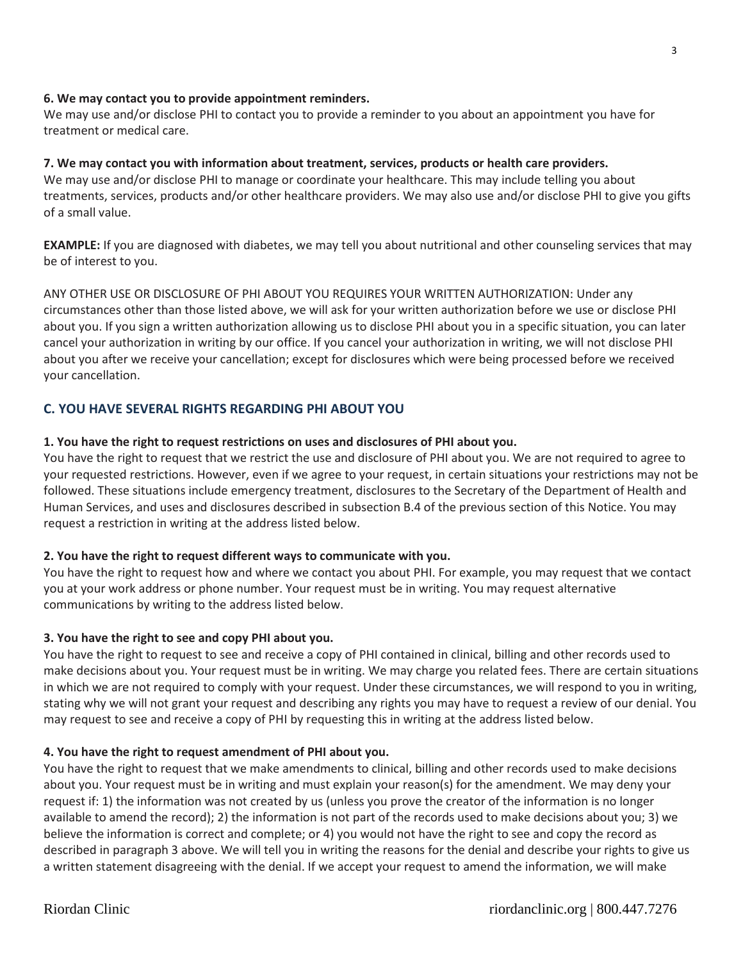# **6. We may contact you to provide appointment reminders.**

We may use and/or disclose PHI to contact you to provide a reminder to you about an appointment you have for treatment or medical care.

#### **7. We may contact you with information about treatment, services, products or health care providers.**

We may use and/or disclose PHI to manage or coordinate your healthcare. This may include telling you about treatments, services, products and/or other healthcare providers. We may also use and/or disclose PHI to give you gifts of a small value.

**EXAMPLE:** If you are diagnosed with diabetes, we may tell you about nutritional and other counseling services that may be of interest to you.

ANY OTHER USE OR DISCLOSURE OF PHI ABOUT YOU REQUIRES YOUR WRITTEN AUTHORIZATION: Under any circumstances other than those listed above, we will ask for your written authorization before we use or disclose PHI about you. If you sign a written authorization allowing us to disclose PHI about you in a specific situation, you can later cancel your authorization in writing by our office. If you cancel your authorization in writing, we will not disclose PHI about you after we receive your cancellation; except for disclosures which were being processed before we received your cancellation.

# **C. YOU HAVE SEVERAL RIGHTS REGARDING PHI ABOUT YOU**

# **1. You have the right to request restrictions on uses and disclosures of PHI about you.**

You have the right to request that we restrict the use and disclosure of PHI about you. We are not required to agree to your requested restrictions. However, even if we agree to your request, in certain situations your restrictions may not be followed. These situations include emergency treatment, disclosures to the Secretary of the Department of Health and Human Services, and uses and disclosures described in subsection B.4 of the previous section of this Notice. You may request a restriction in writing at the address listed below.

# **2. You have the right to request different ways to communicate with you.**

You have the right to request how and where we contact you about PHI. For example, you may request that we contact you at your work address or phone number. Your request must be in writing. You may request alternative communications by writing to the address listed below.

# **3. You have the right to see and copy PHI about you.**

You have the right to request to see and receive a copy of PHI contained in clinical, billing and other records used to make decisions about you. Your request must be in writing. We may charge you related fees. There are certain situations in which we are not required to comply with your request. Under these circumstances, we will respond to you in writing, stating why we will not grant your request and describing any rights you may have to request a review of our denial. You may request to see and receive a copy of PHI by requesting this in writing at the address listed below.

#### **4. You have the right to request amendment of PHI about you.**

You have the right to request that we make amendments to clinical, billing and other records used to make decisions about you. Your request must be in writing and must explain your reason(s) for the amendment. We may deny your request if: 1) the information was not created by us (unless you prove the creator of the information is no longer available to amend the record); 2) the information is not part of the records used to make decisions about you; 3) we believe the information is correct and complete; or 4) you would not have the right to see and copy the record as described in paragraph 3 above. We will tell you in writing the reasons for the denial and describe your rights to give us a written statement disagreeing with the denial. If we accept your request to amend the information, we will make